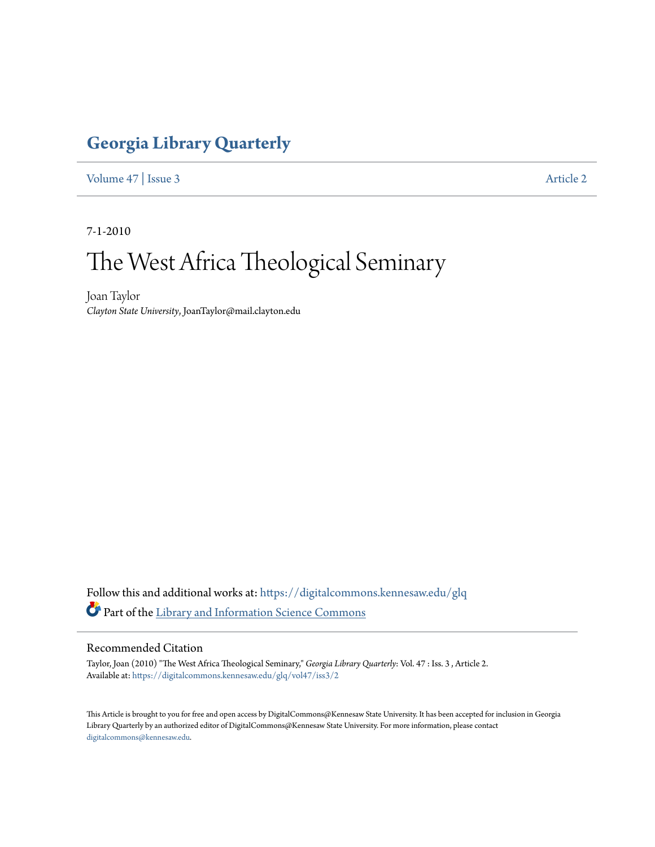### **[Georgia Library Quarterly](https://digitalcommons.kennesaw.edu/glq?utm_source=digitalcommons.kennesaw.edu%2Fglq%2Fvol47%2Fiss3%2F2&utm_medium=PDF&utm_campaign=PDFCoverPages)**

[Volume 47](https://digitalcommons.kennesaw.edu/glq/vol47?utm_source=digitalcommons.kennesaw.edu%2Fglq%2Fvol47%2Fiss3%2F2&utm_medium=PDF&utm_campaign=PDFCoverPages) | [Issue 3](https://digitalcommons.kennesaw.edu/glq/vol47/iss3?utm_source=digitalcommons.kennesaw.edu%2Fglq%2Fvol47%2Fiss3%2F2&utm_medium=PDF&utm_campaign=PDFCoverPages) [Article 2](https://digitalcommons.kennesaw.edu/glq/vol47/iss3/2?utm_source=digitalcommons.kennesaw.edu%2Fglq%2Fvol47%2Fiss3%2F2&utm_medium=PDF&utm_campaign=PDFCoverPages)

7-1-2010

# The West Africa Theological Seminary

Joan Taylor *Clayton State University*, JoanTaylor@mail.clayton.edu

Follow this and additional works at: [https://digitalcommons.kennesaw.edu/glq](https://digitalcommons.kennesaw.edu/glq?utm_source=digitalcommons.kennesaw.edu%2Fglq%2Fvol47%2Fiss3%2F2&utm_medium=PDF&utm_campaign=PDFCoverPages) Part of the [Library and Information Science Commons](http://network.bepress.com/hgg/discipline/1018?utm_source=digitalcommons.kennesaw.edu%2Fglq%2Fvol47%2Fiss3%2F2&utm_medium=PDF&utm_campaign=PDFCoverPages)

#### Recommended Citation

Taylor, Joan (2010) "The West Africa Theological Seminary," *Georgia Library Quarterly*: Vol. 47 : Iss. 3 , Article 2. Available at: [https://digitalcommons.kennesaw.edu/glq/vol47/iss3/2](https://digitalcommons.kennesaw.edu/glq/vol47/iss3/2?utm_source=digitalcommons.kennesaw.edu%2Fglq%2Fvol47%2Fiss3%2F2&utm_medium=PDF&utm_campaign=PDFCoverPages)

This Article is brought to you for free and open access by DigitalCommons@Kennesaw State University. It has been accepted for inclusion in Georgia Library Quarterly by an authorized editor of DigitalCommons@Kennesaw State University. For more information, please contact [digitalcommons@kennesaw.edu.](mailto:digitalcommons@kennesaw.edu)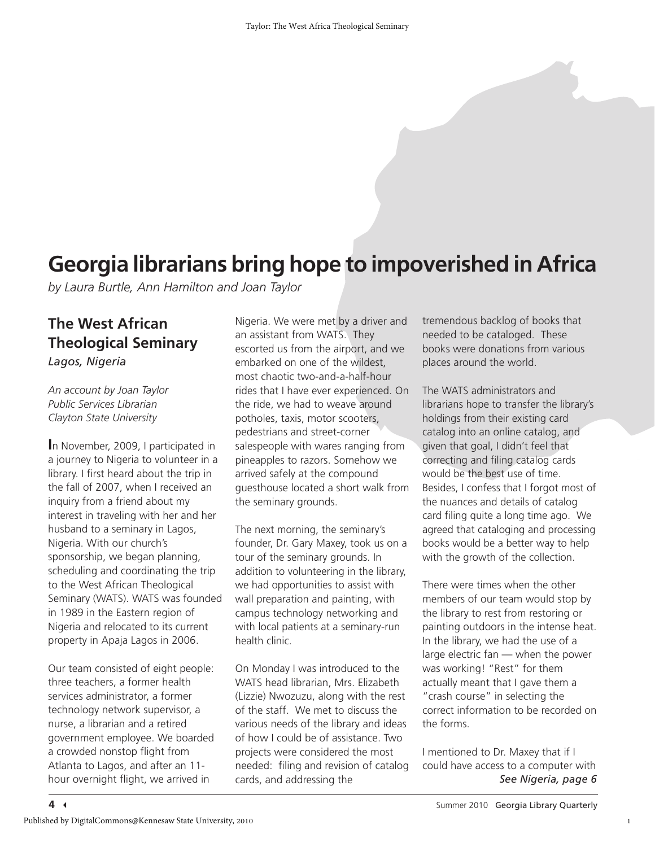## **Georgia librarians bring hope to impoverished in Africa**

*by Laura Burtle, Ann Hamilton and Joan Taylor*

### **The West African Theological Seminary** *Lagos, Nigeria*

*An account by Joan Taylor Public Services Librarian Clayton State University*

**I**n November, 2009, I participated in a journey to Nigeria to volunteer in a library. I first heard about the trip in the fall of 2007, when I received an inquiry from a friend about my interest in traveling with her and her husband to a seminary in Lagos, Nigeria. With our church's sponsorship, we began planning, scheduling and coordinating the trip to the West African Theological Seminary (WATS). WATS was founded in 1989 in the Eastern region of Nigeria and relocated to its current property in Apaja Lagos in 2006.

Our team consisted of eight people: three teachers, a former health services administrator, a former technology network supervisor, a nurse, a librarian and a retired government employee. We boarded a crowded nonstop flight from Atlanta to Lagos, and after an 11 hour overnight flight, we arrived in

Nigeria. We were met by a driver and an assistant from WATS. They escorted us from the airport, and we embarked on one of the wildest, most chaotic two-and-a-half-hour rides that I have ever experienced. On the ride, we had to weave around potholes, taxis, motor scooters, pedestrians and street-corner salespeople with wares ranging from pineapples to razors. Somehow we arrived safely at the compound guesthouse located a short walk from the seminary grounds.

The next morning, the seminary's founder, Dr. Gary Maxey, took us on a tour of the seminary grounds. In addition to volunteering in the library, we had opportunities to assist with wall preparation and painting, with campus technology networking and with local patients at a seminary-run health clinic.

On Monday I was introduced to the WATS head librarian, Mrs. Elizabeth (Lizzie) Nwozuzu, along with the rest of the staff. We met to discuss the various needs of the library and ideas of how I could be of assistance. Two projects were considered the most needed: filing and revision of catalog cards, and addressing the

tremendous backlog of books that needed to be cataloged. These books were donations from various places around the world.

The WATS administrators and librarians hope to transfer the library's holdings from their existing card catalog into an online catalog, and given that goal, I didn't feel that correcting and filing catalog cards would be the best use of time. Besides, I confess that I forgot most of the nuances and details of catalog card filing quite a long time ago. We agreed that cataloging and processing books would be a better way to help with the growth of the collection.

There were times when the other members of our team would stop by the library to rest from restoring or painting outdoors in the intense heat. In the library, we had the use of a large electric fan — when the power was working! "Rest" for them actually meant that I gave them a "crash course" in selecting the correct information to be recorded on the forms.

I mentioned to Dr. Maxey that if I could have access to a computer with *See Nigeria, page 6*

1